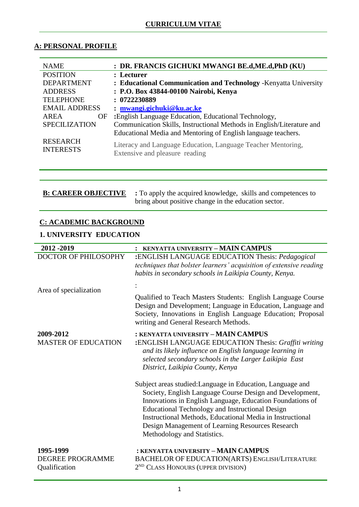### **CURRICULUM VITAE**

# **A: PERSONAL PROFILE**

| <b>NAME</b>                         | : DR. FRANCIS GICHUKI MWANGI BE.d.ME.d.PhD (KU)                                                |  |  |  |  |
|-------------------------------------|------------------------------------------------------------------------------------------------|--|--|--|--|
| <b>POSITION</b>                     | : Lecturer                                                                                     |  |  |  |  |
| <b>DEPARTMENT</b>                   | : Educational Communication and Technology - Kenyatta University                               |  |  |  |  |
| <b>ADDRESS</b>                      | : P.O. Box 43844-00100 Nairobi, Kenya                                                          |  |  |  |  |
| <b>TELEPHONE</b>                    | : 0722230889                                                                                   |  |  |  |  |
| <b>EMAIL ADDRESS</b>                | $:$ mwangi.gichuki@ku.ac.ke                                                                    |  |  |  |  |
| AREA<br>OF                          | :English Language Education, Educational Technology,                                           |  |  |  |  |
| <b>SPECILIZATION</b>                | Communication Skills, Instructional Methods in English/Literature and                          |  |  |  |  |
|                                     | Educational Media and Mentoring of English language teachers.                                  |  |  |  |  |
| <b>RESEARCH</b><br><b>INTERESTS</b> | Literacy and Language Education, Language Teacher Mentoring,<br>Extensive and pleasure reading |  |  |  |  |

**B: CAREER OBJECTIVE :** To apply the acquired knowledge, skills and competences to bring about positive change in the education sector.

# **C: ACADEMIC BACKGROUND**

# **1. UNIVERSITY EDUCATION**

| 2012 - 2019                                    | : KENYATTA UNIVERSITY - MAIN CAMPUS                                                                                                                                                                                                                                                                                                                                                           |  |  |  |  |
|------------------------------------------------|-----------------------------------------------------------------------------------------------------------------------------------------------------------------------------------------------------------------------------------------------------------------------------------------------------------------------------------------------------------------------------------------------|--|--|--|--|
| DOCTOR OF PHILOSOPHY                           | :ENGLISH LANGUAGE EDUCATION Thesis: Pedagogical<br>techniques that bolster learners' acquisition of extensive reading<br>habits in secondary schools in Laikipia County, Kenya.                                                                                                                                                                                                               |  |  |  |  |
| Area of specialization                         | Qualified to Teach Masters Students: English Language Course                                                                                                                                                                                                                                                                                                                                  |  |  |  |  |
|                                                | Design and Development; Language in Education, Language and<br>Society, Innovations in English Language Education; Proposal<br>writing and General Research Methods.                                                                                                                                                                                                                          |  |  |  |  |
| 2009-2012<br><b>MASTER OF EDUCATION</b>        | : KENYATTA UNIVERSITY - MAIN CAMPUS<br>:ENGLISH LANGUAGE EDUCATION Thesis: Graffiti writing<br>and its likely influence on English language learning in<br>selected secondary schools in the Larger Laikipia East<br>District, Laikipia County, Kenya                                                                                                                                         |  |  |  |  |
|                                                | Subject areas studied: Language in Education, Language and<br>Society, English Language Course Design and Development,<br>Innovations in English Language, Education Foundations of<br><b>Educational Technology and Instructional Design</b><br>Instructional Methods, Educational Media in Instructional<br>Design Management of Learning Resources Research<br>Methodology and Statistics. |  |  |  |  |
| 1995-1999<br>DEGREE PROGRAMME<br>Qualification | : KENYATTA UNIVERSITY - MAIN CAMPUS<br>BACHELOR OF EDUCATION(ARTS) ENGLISH/LITERATURE<br>2 <sup>ND</sup> CLASS HONOURS (UPPER DIVISION)                                                                                                                                                                                                                                                       |  |  |  |  |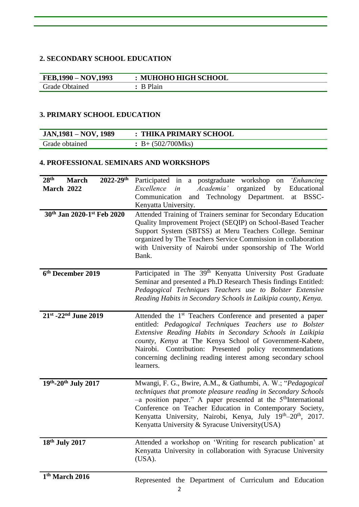#### **2. SECONDARY SCHOOL EDUCATION**

| FEB,1990 – NOV,1993   | : MUHOHO HIGH SCHOOL |
|-----------------------|----------------------|
| <b>Grade Obtained</b> | $: B$ Plain          |

#### **3. PRIMARY SCHOOL EDUCATION**

| JAN, 1981 – NOV, 1989 | : THIKA PRIMARY SCHOOL   |
|-----------------------|--------------------------|
| Grade obtained        | $\div B + (502/700)$ Mks |

#### **4. PROFESSIONAL SEMINARS AND WORKSHOPS**

| 28 <sup>th</sup><br>2022-29th<br><b>March</b><br>March 2022 | Participated in a postgraduate workshop<br>'Enhancing<br>on<br>Excellence<br><i>Academia</i> organized<br>Educational<br>in<br>by<br>Technology Department.<br>Communication<br>BSSC-<br>at<br>and<br>Kenyatta University.                                                                                                                                                                                        |  |  |  |  |  |
|-------------------------------------------------------------|-------------------------------------------------------------------------------------------------------------------------------------------------------------------------------------------------------------------------------------------------------------------------------------------------------------------------------------------------------------------------------------------------------------------|--|--|--|--|--|
| 30th Jan 2020-1st Feb 2020                                  | Attended Training of Trainers seminar for Secondary Education<br>Quality Improvement Project (SEQIP) on School-Based Teacher<br>Support System (SBTSS) at Meru Teachers College. Seminar<br>organized by The Teachers Service Commission in collaboration<br>with University of Nairobi under sponsorship of The World<br>Bank.                                                                                   |  |  |  |  |  |
| 6th December 2019                                           | Participated in The 39 <sup>th</sup> Kenyatta University Post Graduate<br>Seminar and presented a Ph.D Research Thesis findings Entitled:<br>Pedagogical Techniques Teachers use to Bolster Extensive<br>Reading Habits in Secondary Schools in Laikipia county, Kenya.                                                                                                                                           |  |  |  |  |  |
| 21st -22 <sup>nd</sup> June 2019                            | Attended the 1 <sup>st</sup> Teachers Conference and presented a paper<br>entitled: Pedagogical Techniques Teachers use to Bolster<br>Extensive Reading Habits in Secondary Schools in Laikipia<br>county, Kenya at The Kenya School of Government-Kabete,<br>Contribution: Presented policy recommendations<br>Nairobi.<br>concerning declining reading interest among secondary school<br>learners.             |  |  |  |  |  |
| 19th-20th July 2017                                         | Mwangi, F. G., Bwire, A.M., & Gathumbi, A. W.; "Pedagogical<br>techniques that promote pleasure reading in Secondary Schools<br>-a position paper." A paper presented at the 5 <sup>th</sup> International<br>Conference on Teacher Education in Contemporary Society,<br>Kenyatta University, Nairobi, Kenya, July 19 <sup>th</sup> -20 <sup>th</sup> , 2017.<br>Kenyatta University & Syracuse University (USA) |  |  |  |  |  |
| 18th July 2017                                              | Attended a workshop on 'Writing for research publication' at<br>Kenyatta University in collaboration with Syracuse University<br>(USA).                                                                                                                                                                                                                                                                           |  |  |  |  |  |
| 1 <sup>th</sup> March 2016                                  | Represented the Department of Curriculum and Education                                                                                                                                                                                                                                                                                                                                                            |  |  |  |  |  |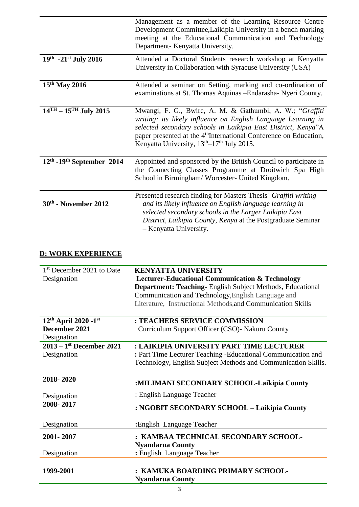|                                                            | Management as a member of the Learning Resource Centre<br>Development Committee, Laikipia University in a bench marking<br>meeting at the Educational Communication and Technology<br>Department- Kenyatta University.                                                                                                                            |  |  |  |
|------------------------------------------------------------|---------------------------------------------------------------------------------------------------------------------------------------------------------------------------------------------------------------------------------------------------------------------------------------------------------------------------------------------------|--|--|--|
| $19^{th}$ -21st July 2016                                  | Attended a Doctoral Students research workshop at Kenyatta<br>University in Collaboration with Syracuse University (USA)                                                                                                                                                                                                                          |  |  |  |
| 15 <sup>th</sup> May 2016                                  | Attended a seminar on Setting, marking and co-ordination of<br>examinations at St. Thomas Aquinas - Endarasha- Nyeri County.                                                                                                                                                                                                                      |  |  |  |
| $\overline{14}$ <sup>TH</sup> – 15 <sup>TH</sup> July 2015 | Mwangi, F. G., Bwire, A. M. & Gathumbi, A. W.; "Graffiti<br>writing: its likely influence on English Language Learning in<br>selected secondary schools in Laikipia East District, Kenya"A<br>paper presented at the 4 <sup>th</sup> International Conference on Education,<br>Kenyatta University, 13 <sup>th</sup> -17 <sup>th</sup> July 2015. |  |  |  |
| $12th$ -19 <sup>th</sup> September 2014                    | Appointed and sponsored by the British Council to participate in<br>the Connecting Classes Programme at Droitwich Spa High<br>School in Birmingham/ Worcester- United Kingdom.                                                                                                                                                                    |  |  |  |
| 30th - November 2012                                       | Presented research finding for Masters Thesis` Graffiti writing<br>and its likely influence on English language learning in<br>selected secondary schools in the Larger Laikipia East<br>District, Laikipia County, Kenya at the Postgraduate Seminar<br>- Kenyatta University.                                                                   |  |  |  |

# **D: WORK EXPERIENCE**

| 1 <sup>st</sup> December 2021 to Date  | <b>KENYATTA UNIVERSITY</b>                                       |  |  |  |  |
|----------------------------------------|------------------------------------------------------------------|--|--|--|--|
| Designation                            | <b>Lecturer-Educational Communication &amp; Technology</b>       |  |  |  |  |
|                                        | <b>Department: Teaching-English Subject Methods, Educational</b> |  |  |  |  |
|                                        | Communication and Technology, English Language and               |  |  |  |  |
|                                        | Literature, Instructional Methods, and Communication Skills      |  |  |  |  |
|                                        |                                                                  |  |  |  |  |
| 12th April 2020 - 1st                  | : TEACHERS SERVICE COMMISSION                                    |  |  |  |  |
| December 2021                          | Curriculum Support Officer (CSO) - Nakuru County                 |  |  |  |  |
| Designation                            |                                                                  |  |  |  |  |
| $2013 - 1$ <sup>st</sup> December 2021 | : LAIKIPIA UNIVERSITY PART TIME LECTURER                         |  |  |  |  |
| Designation                            | : Part Time Lecturer Teaching - Educational Communication and    |  |  |  |  |
|                                        | Technology, English Subject Methods and Communication Skills.    |  |  |  |  |
|                                        |                                                                  |  |  |  |  |
| 2018-2020                              |                                                                  |  |  |  |  |
|                                        | :MILIMANI SECONDARY SCHOOL-Laikipia County                       |  |  |  |  |
| Designation                            | : English Language Teacher                                       |  |  |  |  |
| 2008-2017                              |                                                                  |  |  |  |  |
|                                        | : NGOBIT SECONDARY SCHOOL – Laikipia County                      |  |  |  |  |
| Designation                            | : English Language Teacher                                       |  |  |  |  |
|                                        |                                                                  |  |  |  |  |
| 2001-2007                              | : KAMBAA TECHNICAL SECONDARY SCHOOL-                             |  |  |  |  |
|                                        | <b>Nyandarua County</b>                                          |  |  |  |  |
| Designation                            | : English Language Teacher                                       |  |  |  |  |
|                                        |                                                                  |  |  |  |  |
| 1999-2001                              | KAMUKA BOARDING PRIMARY SCHOOL-                                  |  |  |  |  |
|                                        | <b>Nyandarua County</b>                                          |  |  |  |  |
|                                        |                                                                  |  |  |  |  |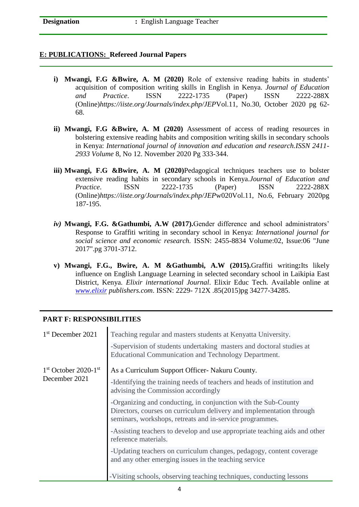#### **E: PUBLICATIONS: Refereed Journal Papers**

- **i) Mwangi, F.G &Bwire, A. M (2020)** Role of extensive reading habits in students' acquisition of composition writing skills in English in Kenya. *Journal of Education and Practice*. ISSN 2222-1735 (Paper) ISSN 2222-288X (Online)*<https://iiste.org/Journals/index.php/JEP>*Vol.11, No.30, October 2020 pg 62- 68.
- **ii) Mwangi, F.G &Bwire, A. M (2020)** Assessment of access of reading resources in bolstering extensive reading habits and composition writing skills in secondary schools in Kenya: *International journal of innovation and education and research.ISSN 2411- 2933 Volume* 8, No 12. November 2020 Pg 333-344.
- **iii) Mwangi, F.G &Bwire, A. M (2020)**Pedagogical techniques teachers use to bolster extensive reading habits in secondary schools in Kenya.*Journal of Education and Practice*. ISSN 2222-1735 (Paper) ISSN 2222-288X (Online)*<https://iiste.org/Journals/index.php/JEP>*w020Vol.11, No.6, February 2020pg 187-195.
- *iv)* **Mwangi, F.G. &Gathumbi, A.W (2017).**Gender difference and school administrators' Response to Graffiti writing in secondary school in Kenya: *International journal for social science and economic research.* ISSN: 2455-8834 Volume:02, Issue:06 "June 2017".pg 3701-3712.
- **v) Mwangi, F.G., Bwire, A. M &Gathumbi, A.W (2015).**Graffiti writing**:**Its likely influence on English Language Learning in selected secondary school in Laikipia East District, Kenya. *Elixir international Journal*. Elixir Educ Tech. Available online at *[www.elixir](http://www.elixir/) publishers.com*. ISSN: 2229- 712X .85(2015)pg 34277-34285.

### **PART F: RESPONSIBILITIES**

| 1 <sup>st</sup> December 2021 | Teaching regular and masters students at Kenyatta University.                                                                                                                                      |
|-------------------------------|----------------------------------------------------------------------------------------------------------------------------------------------------------------------------------------------------|
|                               | -Supervision of students undertaking masters and doctoral studies at<br>Educational Communication and Technology Department.                                                                       |
| $1st$ October 2020- $1st$     | As a Curriculum Support Officer- Nakuru County.                                                                                                                                                    |
| December 2021                 | -Identifying the training needs of teachers and heads of institution and<br>advising the Commission accordingly                                                                                    |
|                               | -Organizing and conducting, in conjunction with the Sub-County<br>Directors, courses on curriculum delivery and implementation through<br>seminars, workshops, retreats and in-service programmes. |
|                               | -Assisting teachers to develop and use appropriate teaching aids and other<br>reference materials.                                                                                                 |
|                               | -Updating teachers on curriculum changes, pedagogy, content coverage<br>and any other emerging issues in the teaching service                                                                      |
|                               | -Visiting schools, observing teaching techniques, conducting lessons                                                                                                                               |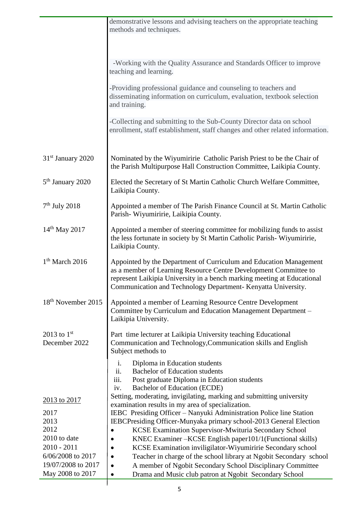|                                | demonstrative lessons and advising teachers on the appropriate teaching<br>methods and techniques.                                                                                                                                                                                 |
|--------------------------------|------------------------------------------------------------------------------------------------------------------------------------------------------------------------------------------------------------------------------------------------------------------------------------|
|                                | -Working with the Quality Assurance and Standards Officer to improve<br>teaching and learning.                                                                                                                                                                                     |
|                                | -Providing professional guidance and counseling to teachers and<br>disseminating information on curriculum, evaluation, textbook selection<br>and training.                                                                                                                        |
|                                | -Collecting and submitting to the Sub-County Director data on school<br>enrollment, staff establishment, staff changes and other related information.                                                                                                                              |
| 31 <sup>st</sup> January 2020  | Nominated by the Wiyumiririe Catholic Parish Priest to be the Chair of<br>the Parish Multipurpose Hall Construction Committee, Laikipia County.                                                                                                                                    |
| 5 <sup>th</sup> January 2020   | Elected the Secretary of St Martin Catholic Church Welfare Committee,<br>Laikipia County.                                                                                                                                                                                          |
| $7th$ July 2018                | Appointed a member of The Parish Finance Council at St. Martin Catholic<br>Parish-Wiyumiririe, Laikipia County.                                                                                                                                                                    |
| $14^{th}$ May 2017             | Appointed a member of steering committee for mobilizing funds to assist<br>the less fortunate in society by St Martin Catholic Parish-Wiyumiririe,<br>Laikipia County.                                                                                                             |
| $1th$ March 2016               | Appointed by the Department of Curriculum and Education Management<br>as a member of Learning Resource Centre Development Committee to<br>represent Laikipia University in a bench marking meeting at Educational<br>Communication and Technology Department- Kenyatta University. |
| 18 <sup>th</sup> November 2015 | Appointed a member of Learning Resource Centre Development<br>Committee by Curriculum and Education Management Department -<br>Laikipia University.                                                                                                                                |
| 2013 to $1st$<br>December 2022 | Part time lecturer at Laikipia University teaching Educational<br>Communication and Technology, Communication skills and English<br>Subject methods to                                                                                                                             |
|                                | Diploma in Education students<br>i.<br>ii.<br><b>Bachelor of Education students</b><br>iii.<br>Post graduate Diploma in Education students<br>Bachelor of Education (ECDE)<br>iv.                                                                                                  |
| 2013 to 2017                   | Setting, moderating, invigilating, marking and submitting university<br>examination results in my area of specialization.                                                                                                                                                          |
| 2017                           | IEBC Presiding Officer - Nanyuki Administration Police line Station                                                                                                                                                                                                                |
| 2013                           | IEBCPresiding Officer-Munyaka primary school-2013 General Election                                                                                                                                                                                                                 |
| 2012<br>2010 to date           | KCSE Examination Supervisor-Mwituria Secondary School<br>KNEC Examiner – KCSE English paper101/1 (Functional skills)                                                                                                                                                               |
| $2010 - 2011$                  | KCSE Examination inviligilator-Wiyumiririe Secondary school                                                                                                                                                                                                                        |
| 6/06/2008 to 2017              | Teacher in charge of the school library at Ngobit Secondary school<br>٠                                                                                                                                                                                                            |
| 19/07/2008 to 2017             | A member of Ngobit Secondary School Disciplinary Committee                                                                                                                                                                                                                         |
| May 2008 to 2017               | Drama and Music club patron at Ngobit Secondary School<br>$\bullet$                                                                                                                                                                                                                |

 $\overline{\phantom{a}}$